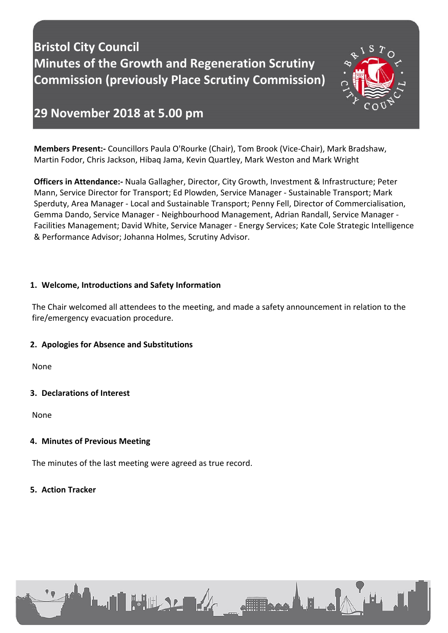# **Bristol City Council Minutes of the Growth and Regeneration Scrutiny Commission (previously Place Scrutiny Commission)**



# **29 November 2018 at 5.00 pm**

**Members Present:-** Councillors Paula O'Rourke (Chair), Tom Brook (Vice-Chair), Mark Bradshaw, Martin Fodor, Chris Jackson, Hibaq Jama, Kevin Quartley, Mark Weston and Mark Wright

**Officers in Attendance:-** Nuala Gallagher, Director, City Growth, Investment & Infrastructure; Peter Mann, Service Director for Transport; Ed Plowden, Service Manager - Sustainable Transport; Mark Sperduty, Area Manager - Local and Sustainable Transport; Penny Fell, Director of Commercialisation, Gemma Dando, Service Manager - Neighbourhood Management, Adrian Randall, Service Manager - Facilities Management; David White, Service Manager - Energy Services; Kate Cole Strategic Intelligence & Performance Advisor; Johanna Holmes, Scrutiny Advisor.

#### **1. Welcome, Introductions and Safety Information**

The Chair welcomed all attendees to the meeting, and made a safety announcement in relation to the fire/emergency evacuation procedure.

**STERNA ALL**A

# **2. Apologies for Absence and Substitutions**

None

# **3. Declarations of Interest**

None

# **4. Minutes of Previous Meeting**

The minutes of the last meeting were agreed as true record.

#### **5. Action Tracker**

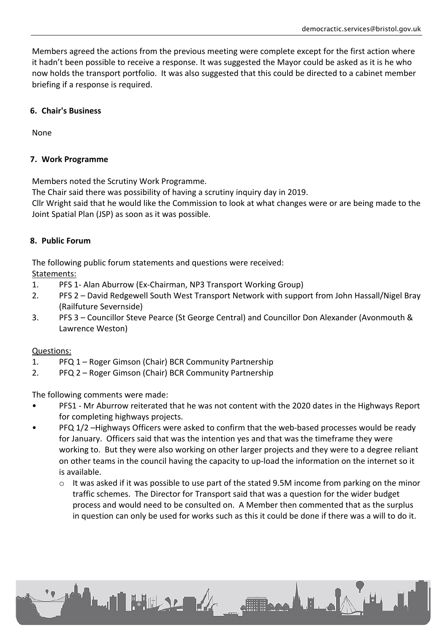Members agreed the actions from the previous meeting were complete except for the first action where it hadn't been possible to receive a response. It was suggested the Mayor could be asked as it is he who now holds the transport portfolio. It was also suggested that this could be directed to a cabinet member briefing if a response is required.

#### **6. Chair's Business**

None

#### **7. Work Programme**

Members noted the Scrutiny Work Programme.

The Chair said there was possibility of having a scrutiny inquiry day in 2019.

Cllr Wright said that he would like the Commission to look at what changes were or are being made to the Joint Spatial Plan (JSP) as soon as it was possible.

#### **8. Public Forum**

The following public forum statements and questions were received:

Statements:

- 1. PFS 1- Alan Aburrow (Ex-Chairman, NP3 Transport Working Group)
- 2. PFS 2 David Redgewell South West Transport Network with support from John Hassall/Nigel Bray (Railfuture Severnside)
- 3. PFS 3 Councillor Steve Pearce (St George Central) and Councillor Don Alexander (Avonmouth & Lawrence Weston)

#### Questions:

- 1. PFQ 1 Roger Gimson (Chair) BCR Community Partnership
- 2. PFQ 2 Roger Gimson (Chair) BCR Community Partnership

**LAI FULLSLER** 

The following comments were made:

- PFS1 Mr Aburrow reiterated that he was not content with the 2020 dates in the Highways Report for completing highways projects.
- PFQ 1/2 –Highways Officers were asked to confirm that the web-based processes would be ready for January. Officers said that was the intention yes and that was the timeframe they were working to. But they were also working on other larger projects and they were to a degree reliant on other teams in the council having the capacity to up-load the information on the internet so it is available.
	- $\circ$  It was asked if it was possible to use part of the stated 9.5M income from parking on the minor traffic schemes. The Director for Transport said that was a question for the wider budget process and would need to be consulted on. A Member then commented that as the surplus in question can only be used for works such as this it could be done if there was a will to do it.

**Allisage A. B. Le**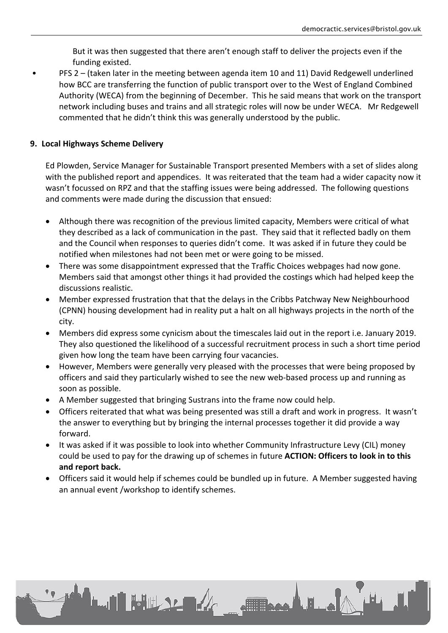But it was then suggested that there aren't enough staff to deliver the projects even if the funding existed.

• PFS 2 – (taken later in the meeting between agenda item 10 and 11) David Redgewell underlined how BCC are transferring the function of public transport over to the West of England Combined Authority (WECA) from the beginning of December. This he said means that work on the transport network including buses and trains and all strategic roles will now be under WECA. Mr Redgewell commented that he didn't think this was generally understood by the public.

### **9. Local Highways Scheme Delivery**

Ed Plowden, Service Manager for Sustainable Transport presented Members with a set of slides along with the published report and appendices. It was reiterated that the team had a wider capacity now it wasn't focussed on RPZ and that the staffing issues were being addressed. The following questions and comments were made during the discussion that ensued:

- Although there was recognition of the previous limited capacity, Members were critical of what they described as a lack of communication in the past. They said that it reflected badly on them and the Council when responses to queries didn't come. It was asked if in future they could be notified when milestones had not been met or were going to be missed.
- There was some disappointment expressed that the Traffic Choices webpages had now gone. Members said that amongst other things it had provided the costings which had helped keep the discussions realistic.
- Member expressed frustration that that the delays in the Cribbs Patchway New Neighbourhood (CPNN) housing development had in reality put a halt on all highways projects in the north of the city.
- Members did express some cynicism about the timescales laid out in the report i.e. January 2019. They also questioned the likelihood of a successful recruitment process in such a short time period given how long the team have been carrying four vacancies.
- However, Members were generally very pleased with the processes that were being proposed by officers and said they particularly wished to see the new web-based process up and running as soon as possible.
- A Member suggested that bringing Sustrans into the frame now could help.

**LAN HULLER** 

- Officers reiterated that what was being presented was still a draft and work in progress. It wasn't the answer to everything but by bringing the internal processes together it did provide a way forward.
- It was asked if it was possible to look into whether Community Infrastructure Levy (CIL) money could be used to pay for the drawing up of schemes in future **ACTION: Officers to look in to this and report back.**
- Officers said it would help if schemes could be bundled up in future. A Member suggested having an annual event /workshop to identify schemes.

de 11 de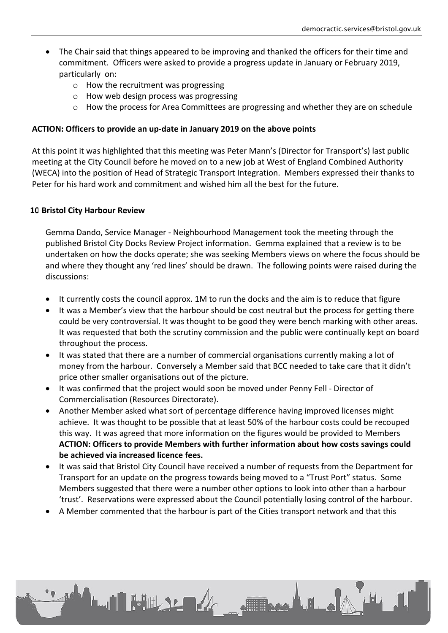- The Chair said that things appeared to be improving and thanked the officers for their time and commitment. Officers were asked to provide a progress update in January or February 2019, particularly on:
	- o How the recruitment was progressing
	- o How web design process was progressing
	- o How the process for Area Committees are progressing and whether they are on schedule

#### **ACTION: Officers to provide an up-date in January 2019 on the above points**

At this point it was highlighted that this meeting was Peter Mann's (Director for Transport's) last public meeting at the City Council before he moved on to a new job at West of England Combined Authority (WECA) into the position of Head of Strategic Transport Integration. Members expressed their thanks to Peter for his hard work and commitment and wished him all the best for the future.

#### **10.Bristol City Harbour Review**

Gemma Dando, Service Manager - Neighbourhood Management took the meeting through the published Bristol City Docks Review Project information. Gemma explained that a review is to be undertaken on how the docks operate; she was seeking Members views on where the focus should be and where they thought any 'red lines' should be drawn. The following points were raised during the discussions:

- It currently costs the council approx. 1M to run the docks and the aim is to reduce that figure
- It was a Member's view that the harbour should be cost neutral but the process for getting there could be very controversial. It was thought to be good they were bench marking with other areas. It was requested that both the scrutiny commission and the public were continually kept on board throughout the process.
- It was stated that there are a number of commercial organisations currently making a lot of money from the harbour. Conversely a Member said that BCC needed to take care that it didn't price other smaller organisations out of the picture.
- It was confirmed that the project would soon be moved under Penny Fell Director of Commercialisation (Resources Directorate).
- Another Member asked what sort of percentage difference having improved licenses might achieve. It was thought to be possible that at least 50% of the harbour costs could be recouped this way. It was agreed that more information on the figures would be provided to Members **ACTION: Officers to provide Members with further information about how costs savings could be achieved via increased licence fees.**
- It was said that Bristol City Council have received a number of requests from the Department for Transport for an update on the progress towards being moved to a "Trust Port" status. Some Members suggested that there were a number other options to look into other than a harbour 'trust'. Reservations were expressed about the Council potentially losing control of the harbour.

Jackson

A Member commented that the harbour is part of the Cities transport network and that this

**LAN HULLY ARE**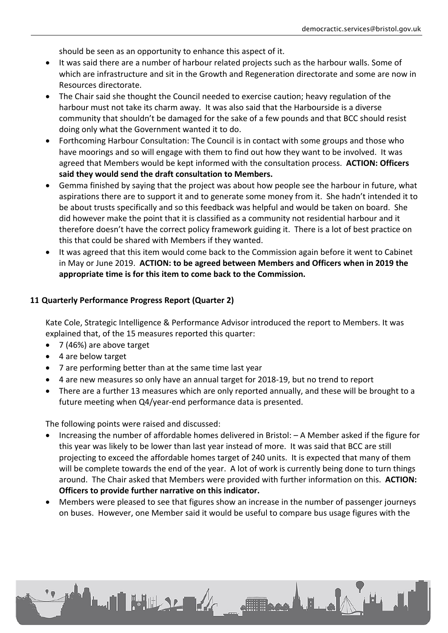should be seen as an opportunity to enhance this aspect of it.

- It was said there are a number of harbour related projects such as the harbour walls. Some of which are infrastructure and sit in the Growth and Regeneration directorate and some are now in Resources directorate.
- The Chair said she thought the Council needed to exercise caution; heavy regulation of the harbour must not take its charm away. It was also said that the Harbourside is a diverse community that shouldn't be damaged for the sake of a few pounds and that BCC should resist doing only what the Government wanted it to do.
- Forthcoming Harbour Consultation: The Council is in contact with some groups and those who have moorings and so will engage with them to find out how they want to be involved. It was agreed that Members would be kept informed with the consultation process. **ACTION: Officers said they would send the draft consultation to Members.**
- Gemma finished by saying that the project was about how people see the harbour in future, what aspirations there are to support it and to generate some money from it. She hadn't intended it to be about trusts specifically and so this feedback was helpful and would be taken on board. She did however make the point that it is classified as a community not residential harbour and it therefore doesn't have the correct policy framework guiding it. There is a lot of best practice on this that could be shared with Members if they wanted.
- It was agreed that this item would come back to the Commission again before it went to Cabinet in May or June 2019. **ACTION: to be agreed between Members and Officers when in 2019 the appropriate time is for this item to come back to the Commission.**

# **11.Quarterly Performance Progress Report (Quarter 2)**

Kate Cole, Strategic Intelligence & Performance Advisor introduced the report to Members. It was explained that, of the 15 measures reported this quarter:

- 7 (46%) are above target
- 4 are below target
- 7 are performing better than at the same time last year

**LATHERLAND** 

- 4 are new measures so only have an annual target for 2018-19, but no trend to report
- There are a further 13 measures which are only reported annually, and these will be brought to a future meeting when Q4/year-end performance data is presented.

The following points were raised and discussed:

- Increasing the number of affordable homes delivered in Bristol: A Member asked if the figure for this year was likely to be lower than last year instead of more. It was said that BCC are still projecting to exceed the affordable homes target of 240 units. It is expected that many of them will be complete towards the end of the year. A lot of work is currently being done to turn things around. The Chair asked that Members were provided with further information on this. **ACTION: Officers to provide further narrative on this indicator.**
- Members were pleased to see that figures show an increase in the number of passenger journeys on buses. However, one Member said it would be useful to compare bus usage figures with the

Jackson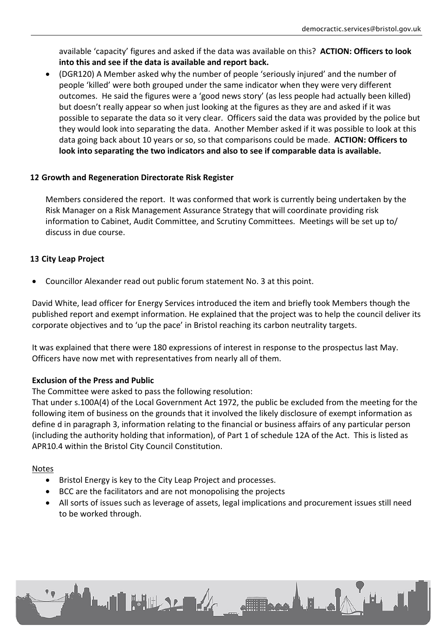available 'capacity' figures and asked if the data was available on this? **ACTION: Officers to look into this and see if the data is available and report back.**

 (DGR120) A Member asked why the number of people 'seriously injured' and the number of people 'killed' were both grouped under the same indicator when they were very different outcomes. He said the figures were a 'good news story' (as less people had actually been killed) but doesn't really appear so when just looking at the figures as they are and asked if it was possible to separate the data so it very clear. Officers said the data was provided by the police but they would look into separating the data. Another Member asked if it was possible to look at this data going back about 10 years or so, so that comparisons could be made. **ACTION: Officers to look into separating the two indicators and also to see if comparable data is available.**

#### **12.Growth and Regeneration Directorate Risk Register**

Members considered the report. It was conformed that work is currently being undertaken by the Risk Manager on a Risk Management Assurance Strategy that will coordinate providing risk information to Cabinet, Audit Committee, and Scrutiny Committees. Meetings will be set up to/ discuss in due course.

# **13.City Leap Project**

Councillor Alexander read out public forum statement No. 3 at this point.

David White, lead officer for Energy Services introduced the item and briefly took Members though the published report and exempt information. He explained that the project was to help the council deliver its corporate objectives and to 'up the pace' in Bristol reaching its carbon neutrality targets.

It was explained that there were 180 expressions of interest in response to the prospectus last May. Officers have now met with representatives from nearly all of them.

# **Exclusion of the Press and Public**

The Committee were asked to pass the following resolution:

That under s.100A(4) of the Local Government Act 1972, the public be excluded from the meeting for the following item of business on the grounds that it involved the likely disclosure of exempt information as define d in paragraph 3, information relating to the financial or business affairs of any particular person (including the authority holding that information), of Part 1 of schedule 12A of the Act. This is listed as APR10.4 within the Bristol City Council Constitution.

#### Notes

- Bristol Energy is key to the City Leap Project and processes.
- BCC are the facilitators and are not monopolising the projects
- All sorts of issues such as leverage of assets, legal implications and procurement issues still need to be worked through.